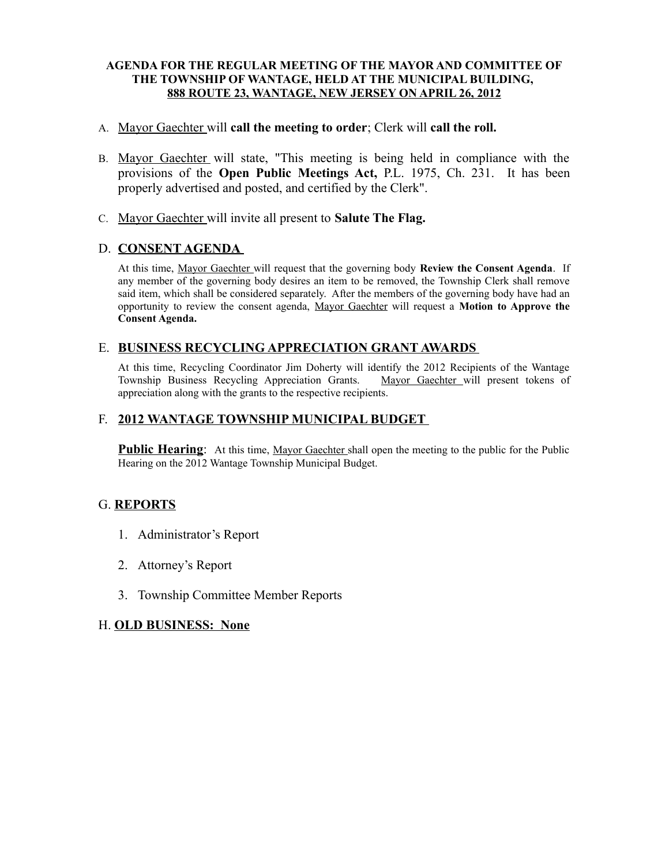## **AGENDA FOR THE REGULAR MEETING OF THE MAYOR AND COMMITTEE OF THE TOWNSHIP OF WANTAGE, HELD AT THE MUNICIPAL BUILDING, 888 ROUTE 23, WANTAGE, NEW JERSEY ON APRIL 26, 2012**

## A. Mayor Gaechter will **call the meeting to order**; Clerk will **call the roll.**

- B. Mayor Gaechter will state, "This meeting is being held in compliance with the provisions of the **Open Public Meetings Act,** P.L. 1975, Ch. 231. It has been properly advertised and posted, and certified by the Clerk".
- C. Mayor Gaechter will invite all present to **Salute The Flag.**

# D. **CONSENT AGENDA**

At this time, Mayor Gaechter will request that the governing body **Review the Consent Agenda**. If any member of the governing body desires an item to be removed, the Township Clerk shall remove said item, which shall be considered separately. After the members of the governing body have had an opportunity to review the consent agenda, Mayor Gaechter will request a **Motion to Approve the Consent Agenda.**

# E. **BUSINESS RECYCLING APPRECIATION GRANT AWARDS**

At this time, Recycling Coordinator Jim Doherty will identify the 2012 Recipients of the Wantage Township Business Recycling Appreciation Grants. Mayor Gaechter will present tokens of appreciation along with the grants to the respective recipients.

# F. **2012 WANTAGE TOWNSHIP MUNICIPAL BUDGET**

**Public Hearing:** At this time, Mayor Gaechter shall open the meeting to the public for the Public Hearing on the 2012 Wantage Township Municipal Budget.

# G. **REPORTS**

- 1. Administrator's Report
- 2. Attorney's Report
- 3. Township Committee Member Reports

#### H. **OLD BUSINESS: None**